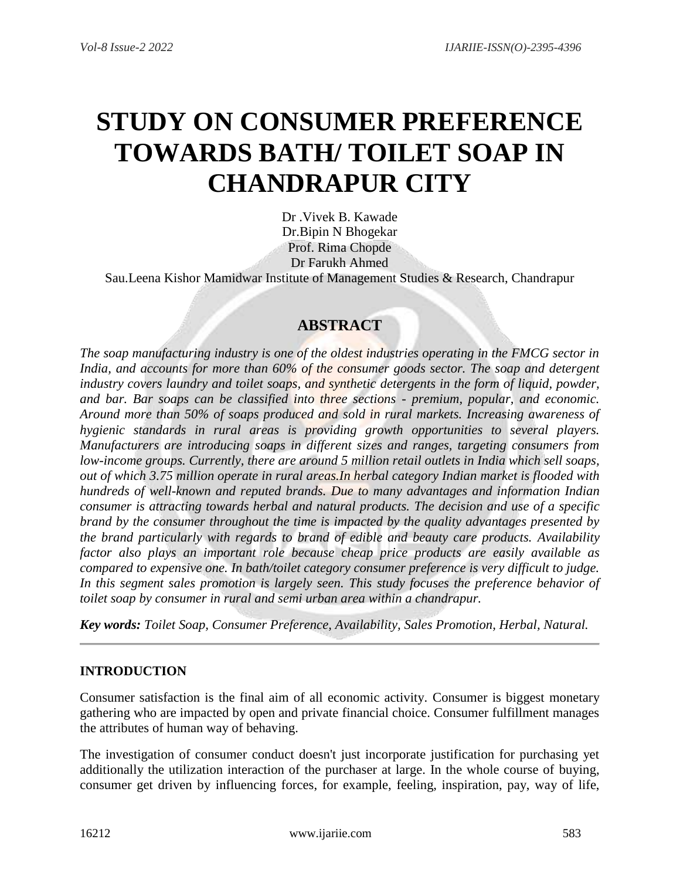# **STUDY ON CONSUMER PREFERENCE TOWARDS BATH/ TOILET SOAP IN CHANDRAPUR CITY**

Dr .Vivek B. Kawade Dr.Bipin N Bhogekar Prof. Rima Chopde Dr Farukh Ahmed Sau.Leena Kishor Mamidwar Institute of Management Studies & Research, Chandrapur

## **ABSTRACT**

*The soap manufacturing industry is one of the oldest industries operating in the FMCG sector in India, and accounts for more than 60% of the consumer goods sector. The soap and detergent industry covers laundry and toilet soaps, and synthetic detergents in the form of liquid, powder, and bar. Bar soaps can be classified into three sections - premium, popular, and economic. Around more than 50% of soaps produced and sold in rural markets. Increasing awareness of hygienic standards in rural areas is providing growth opportunities to several players. Manufacturers are introducing soaps in different sizes and ranges, targeting consumers from low-income groups. Currently, there are around 5 million retail outlets in India which sell soaps, out of which 3.75 million operate in rural areas.In herbal category Indian market is flooded with hundreds of well-known and reputed brands. Due to many advantages and information Indian consumer is attracting towards herbal and natural products. The decision and use of a specific brand by the consumer throughout the time is impacted by the quality advantages presented by the brand particularly with regards to brand of edible and beauty care products. Availability factor also plays an important role because cheap price products are easily available as compared to expensive one. In bath/toilet category consumer preference is very difficult to judge. In this segment sales promotion is largely seen. This study focuses the preference behavior of toilet soap by consumer in rural and semi urban area within a chandrapur.*

*Key words: Toilet Soap, Consumer Preference, Availability, Sales Promotion, Herbal, Natural.*

#### **INTRODUCTION**

Consumer satisfaction is the final aim of all economic activity. Consumer is biggest monetary gathering who are impacted by open and private financial choice. Consumer fulfillment manages the attributes of human way of behaving.

The investigation of consumer conduct doesn't just incorporate justification for purchasing yet additionally the utilization interaction of the purchaser at large. In the whole course of buying, consumer get driven by influencing forces, for example, feeling, inspiration, pay, way of life,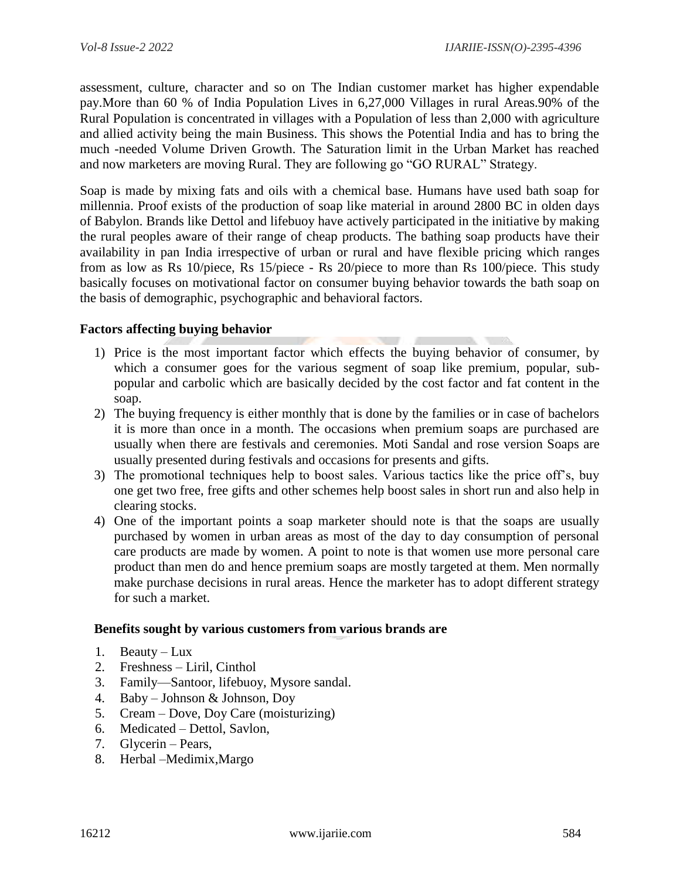assessment, culture, character and so on The Indian customer market has higher expendable pay.More than 60 % of India Population Lives in 6,27,000 Villages in rural Areas.90% of the Rural Population is concentrated in villages with a Population of less than 2,000 with agriculture and allied activity being the main Business. This shows the Potential India and has to bring the much -needed Volume Driven Growth. The Saturation limit in the Urban Market has reached and now marketers are moving Rural. They are following go "GO RURAL" Strategy.

Soap is made by mixing fats and oils with a chemical base. Humans have used bath soap for millennia. Proof exists of the production of soap like material in around 2800 BC in olden days of Babylon. Brands like Dettol and lifebuoy have actively participated in the initiative by making the rural peoples aware of their range of cheap products. The bathing soap products have their availability in pan India irrespective of urban or rural and have flexible pricing which ranges from as low as Rs 10/piece, Rs 15/piece - Rs 20/piece to more than Rs 100/piece. This study basically focuses on motivational factor on consumer buying behavior towards the bath soap on the basis of demographic, psychographic and behavioral factors.

#### **Factors affecting buying behavior**

- 1) Price is the most important factor which effects the buying behavior of consumer, by which a consumer goes for the various segment of soap like premium, popular, subpopular and carbolic which are basically decided by the cost factor and fat content in the soap.
- 2) The buying frequency is either monthly that is done by the families or in case of bachelors it is more than once in a month. The occasions when premium soaps are purchased are usually when there are festivals and ceremonies. Moti Sandal and rose version Soaps are usually presented during festivals and occasions for presents and gifts.
- 3) The promotional techniques help to boost sales. Various tactics like the price off's, buy one get two free, free gifts and other schemes help boost sales in short run and also help in clearing stocks.
- 4) One of the important points a soap marketer should note is that the soaps are usually purchased by women in urban areas as most of the day to day consumption of personal care products are made by women. A point to note is that women use more personal care product than men do and hence premium soaps are mostly targeted at them. Men normally make purchase decisions in rural areas. Hence the marketer has to adopt different strategy for such a market.

#### **Benefits sought by various customers from various brands are**

- 1. Beauty Lux
- 2. Freshness Liril, Cinthol
- 3. Family—Santoor, lifebuoy, Mysore sandal.
- 4. Baby Johnson & Johnson, Doy
- 5. Cream Dove, Doy Care (moisturizing)
- 6. Medicated Dettol, Savlon,
- 7. Glycerin Pears,
- 8. Herbal –Medimix,Margo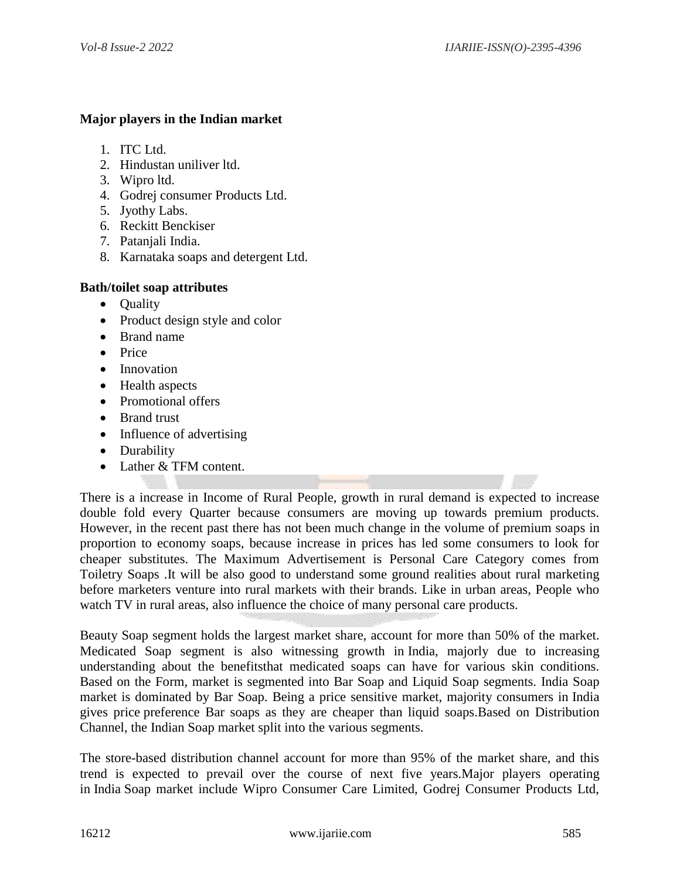#### **Major players in the Indian market**

- 1. ITC Ltd.
- 2. Hindustan uniliver ltd.
- 3. Wipro ltd.
- 4. Godrej consumer Products Ltd.
- 5. Jyothy Labs.
- 6. Reckitt Benckiser
- 7. Patanjali India.
- 8. Karnataka soaps and detergent Ltd.

#### **Bath/toilet soap attributes**

- Quality
- Product design style and color
- Brand name
- Price
- Innovation
- Health aspects
- Promotional offers
- Brand trust
- Influence of advertising
- Durability
- Lather & TFM content.

There is a increase in Income of Rural People, growth in rural demand is expected to increase double fold every Quarter because consumers are moving up towards premium products. However, in the recent past there has not been much change in the volume of premium soaps in proportion to economy soaps, because increase in prices has led some consumers to look for cheaper substitutes. The Maximum Advertisement is Personal Care Category comes from Toiletry Soaps .It will be also good to understand some ground realities about rural marketing before marketers venture into rural markets with their brands. Like in urban areas, People who watch TV in rural areas, also influence the choice of many personal care products.

Beauty Soap segment holds the largest market share, account for more than 50% of the market. Medicated Soap segment is also witnessing growth in India, majorly due to increasing understanding about the benefitsthat medicated soaps can have for various skin conditions. Based on the Form, market is segmented into Bar Soap and Liquid Soap segments. India Soap market is dominated by Bar Soap. Being a price sensitive market, majority consumers in India gives price preference Bar soaps as they are cheaper than liquid soaps.Based on Distribution Channel, the Indian Soap market split into the various segments.

The store-based distribution channel account for more than 95% of the market share, and this trend is expected to prevail over the course of next five years.Major players operating in India Soap market include Wipro Consumer Care Limited, Godrej Consumer Products Ltd,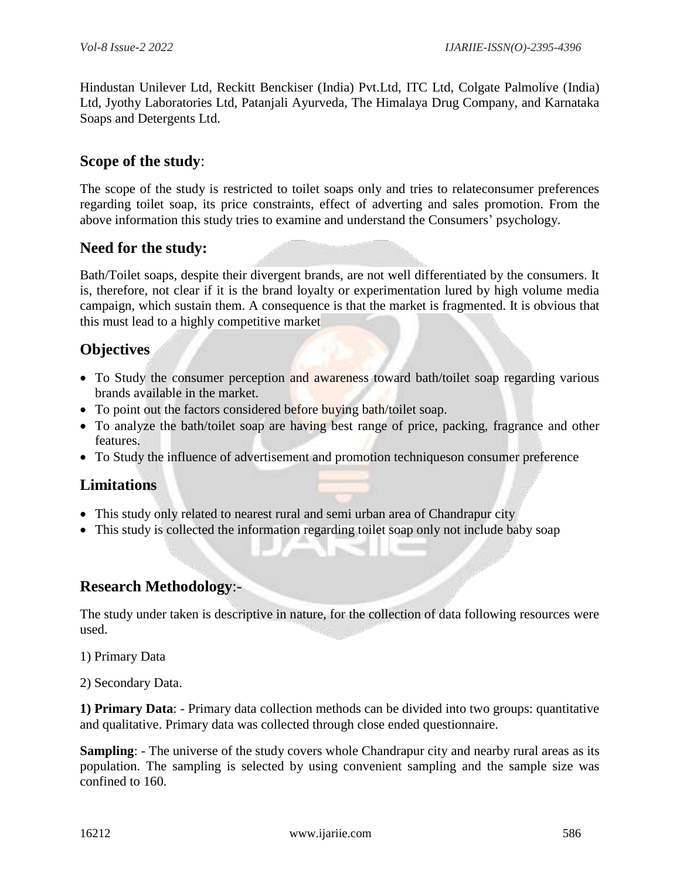Hindustan Unilever Ltd, Reckitt Benckiser (India) Pvt.Ltd, ITC Ltd, Colgate Palmolive (India) Ltd, Jyothy Laboratories Ltd, Patanjali Ayurveda, The Himalaya Drug Company, and Karnataka Soaps and Detergents Ltd.

## **Scope of the study**:

The scope of the study is restricted to toilet soaps only and tries to relateconsumer preferences regarding toilet soap, its price constraints, effect of adverting and sales promotion. From the above information this study tries to examine and understand the Consumers' psychology.

## **Need for the study:**

Bath/Toilet soaps, despite their divergent brands, are not well differentiated by the consumers. It is, therefore, not clear if it is the brand loyalty or experimentation lured by high volume media campaign, which sustain them. A consequence is that the market is fragmented. It is obvious that this must lead to a highly competitive market

## **Objectives**

- To Study the consumer perception and awareness toward bath/toilet soap regarding various brands available in the market.
- To point out the factors considered before buying bath/toilet soap.
- To analyze the bath/toilet soap are having best range of price, packing, fragrance and other features.
- To Study the influence of advertisement and promotion techniqueson consumer preference

## **Limitations**

- This study only related to nearest rural and semi urban area of Chandrapur city
- This study is collected the information regarding toilet soap only not include baby soap

## **Research Methodology**:-

The study under taken is descriptive in nature, for the collection of data following resources were used.

- 1) Primary Data
- 2) Secondary Data.

**1) Primary Data**: - Primary data collection methods can be divided into two groups: quantitative and qualitative. Primary data was collected through close ended questionnaire.

**Sampling**: - The universe of the study covers whole Chandrapur city and nearby rural areas as its population. The sampling is selected by using convenient sampling and the sample size was confined to 160.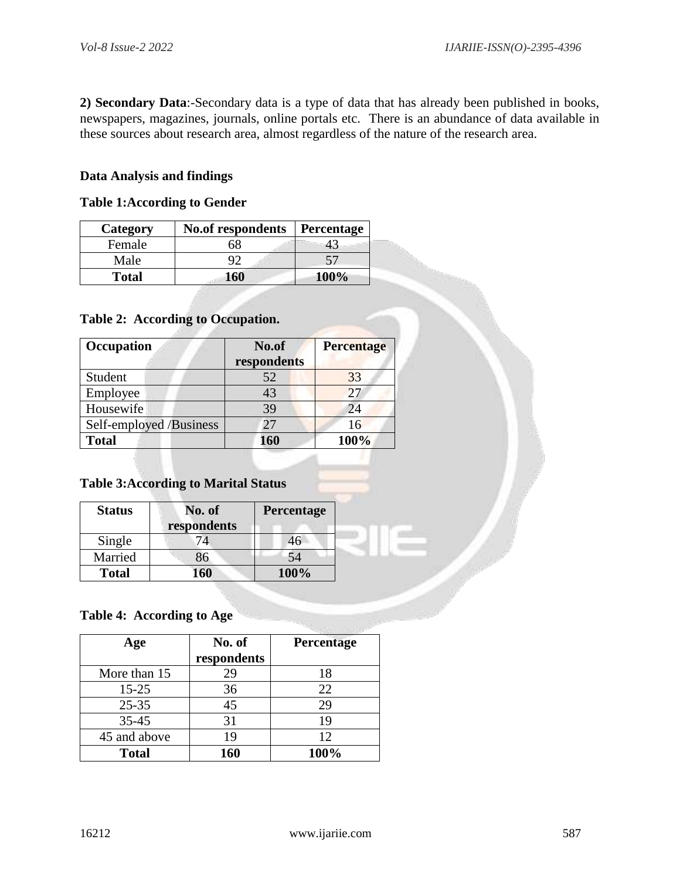**2) Secondary Data**:-Secondary data is a type of data that has already been published in books, newspapers, magazines, journals, online portals etc. There is an abundance of data available in these sources about research area, almost regardless of the nature of the research area.

#### **Data Analysis and findings**

#### **Table 1:According to Gender**

| Category     | <b>No.of respondents</b> | Percentage  |
|--------------|--------------------------|-------------|
| Female       | SX                       |             |
| Male         |                          |             |
| <b>Total</b> | 160                      | <b>100%</b> |

#### **Table 2: According to Occupation.**

| Occupation              | No.of<br>respondents | <b>Percentage</b> |
|-------------------------|----------------------|-------------------|
| Student                 | 52                   | 33                |
| Employee                | 43                   | 27                |
| Housewife               | 39                   | 24                |
| Self-employed /Business | 27                   | 16                |
| <b>Total</b>            | 160                  | 100%              |

## **Table 3:According to Marital Status**

| <b>Status</b> | No. of<br>respondents | Percentage |
|---------------|-----------------------|------------|
| Single        | 74                    | 46         |
| Married       | 86                    | 54         |
| <b>Total</b>  | 60                    | 100%       |

#### **Table 4: According to Age**

| Age          | No. of      | Percentage |
|--------------|-------------|------------|
|              | respondents |            |
| More than 15 | 29          | 18         |
| $15 - 25$    | 36          | 22         |
| $25 - 35$    | 45          | 29         |
| $35 - 45$    | 31          | 19         |
| 45 and above | 19          | 12         |
| <b>Total</b> | 160         | 100%       |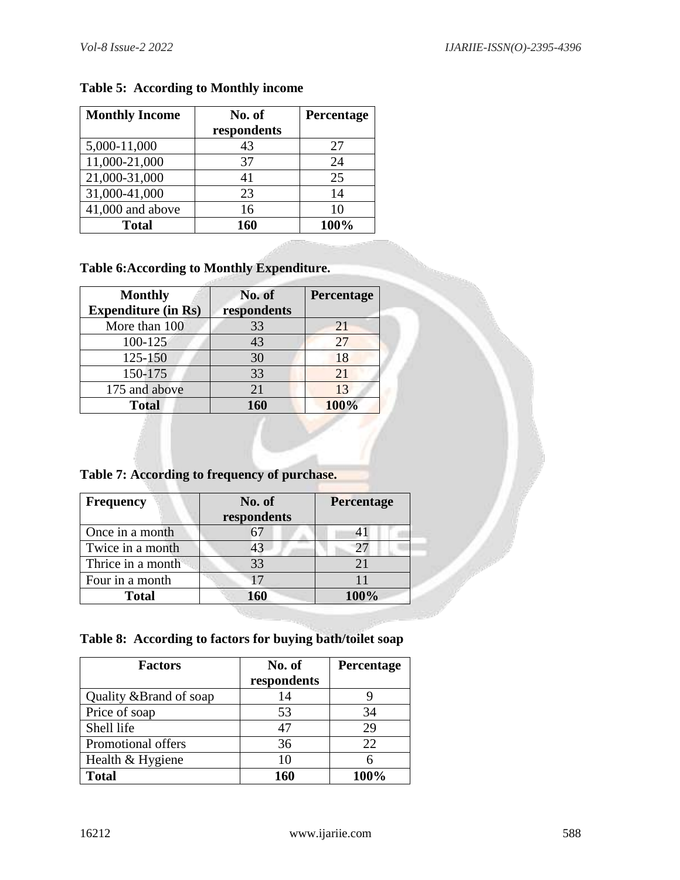| <b>Monthly Income</b> | No. of      | Percentage |
|-----------------------|-------------|------------|
|                       | respondents |            |
| 5,000-11,000          | 43          | 27         |
| 11,000-21,000         | 37          | 24         |
| 21,000-31,000         | 41          | 25         |
| 31,000-41,000         | 23          | 14         |
| 41,000 and above      | 16          | 10         |
| <b>Total</b>          | 160         | 100%       |

## **Table 5: According to Monthly income**

# **Table 6:According to Monthly Expenditure.**

| <b>Monthly</b><br><b>Expenditure (in Rs)</b> | No. of<br>respondents | Percentage |
|----------------------------------------------|-----------------------|------------|
| More than 100                                | 33                    | 21         |
| 100-125                                      | 43                    | 27         |
| 125-150                                      | 30                    | 18         |
| 150-175                                      | 33                    | 21         |
| 175 and above                                | 21                    | 13         |
| <b>Total</b>                                 | 160                   | 100%       |

**Table 7: According to frequency of purchase.**

| <b>Frequency</b>  | No. of      | Percentage |
|-------------------|-------------|------------|
|                   | respondents |            |
| Once in a month   |             |            |
| Twice in a month  | 43          |            |
| Thrice in a month | 33          |            |
| Four in a month   | 17          |            |
| <b>Total</b>      | 160         | 100%       |

**Table 8: According to factors for buying bath/toilet soap**

| <b>Factors</b>          | No. of      | Percentage |
|-------------------------|-------------|------------|
|                         | respondents |            |
| Quality & Brand of soap | 14          |            |
| Price of soap           | 53          | 34         |
| Shell life              | 47          | 29         |
| Promotional offers      | 36          | 22         |
| Health & Hygiene        | 10          |            |
| <b>Total</b>            | 160         | 100%       |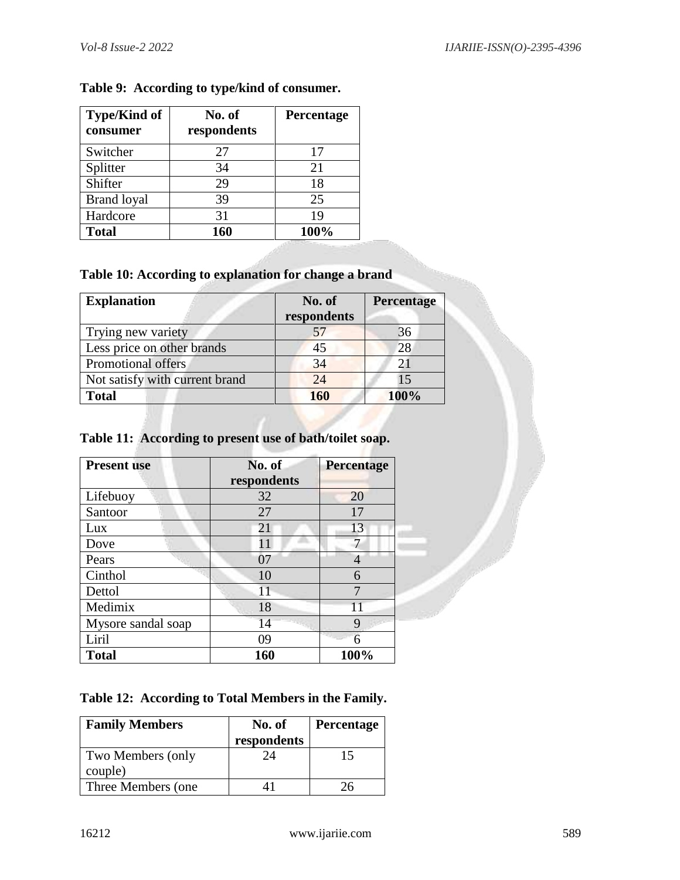| <b>Type/Kind of</b><br>consumer | No. of<br>respondents | Percentage |
|---------------------------------|-----------------------|------------|
| Switcher                        | 27                    | 17         |
| Splitter                        | 34                    | 21         |
| Shifter                         | 29                    | 18         |
| <b>Brand loyal</b>              | 39                    | 25         |
| Hardcore                        | 31                    | 19         |
| <b>Total</b>                    | 160                   | 100%       |

## **Table 9: According to type/kind of consumer.**

## **Table 10: According to explanation for change a brand**

| <b>Explanation</b>             | No. of<br>respondents | <b>Percentage</b> |
|--------------------------------|-----------------------|-------------------|
| Trying new variety             |                       | 36                |
| Less price on other brands     | 45                    | 28                |
| Promotional offers             | 34                    | 21                |
| Not satisfy with current brand | 24                    | 15                |
| <b>Total</b>                   | 160                   | 100%              |

# **Table 11: According to present use of bath/toilet soap.**

| <b>Present use</b> | No. of<br>respondents | Percentage |
|--------------------|-----------------------|------------|
| Lifebuoy           | 32                    | 20         |
| Santoor            | 27                    | 17         |
| Lux                | 21                    | 13         |
| Dove               | 11                    |            |
| Pears              | 07                    |            |
| Cinthol            | 10                    | 6          |
| Dettol             | 11                    | 7          |
| Medimix            | 18                    | 11         |
| Mysore sandal soap | 14                    | 9          |
| Liril              | 09                    | 6          |
| <b>Total</b>       | 160                   | 100%       |

## **Table 12: According to Total Members in the Family.**

| <b>Family Members</b>        | No. of<br>respondents | <b>Percentage</b> |
|------------------------------|-----------------------|-------------------|
| Two Members (only<br>couple) | 7Δ                    | 15                |
| Three Members (one)          |                       |                   |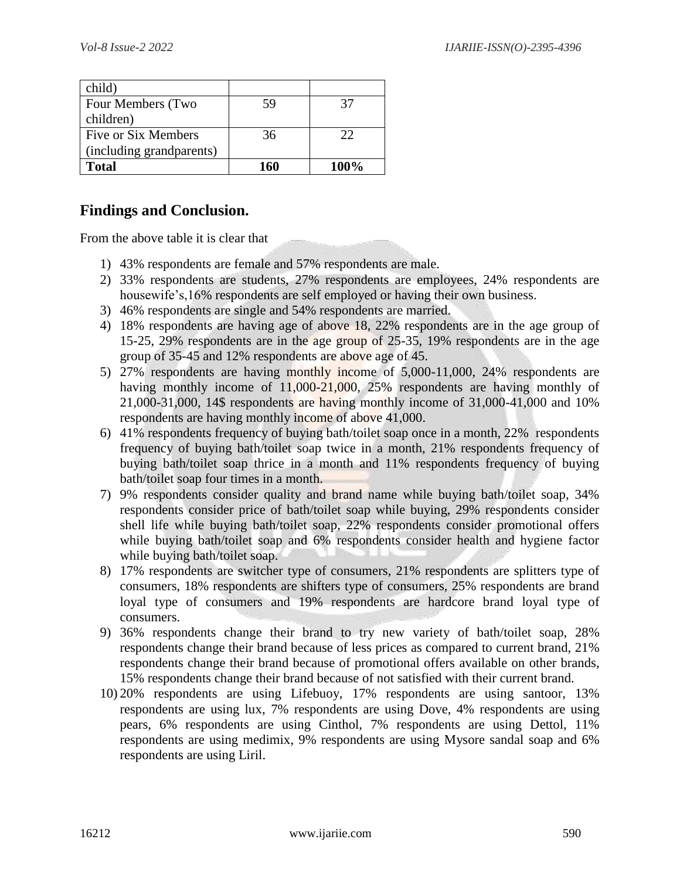| child)                   |     |      |
|--------------------------|-----|------|
| Four Members (Two        | 59  | 37   |
| children)                |     |      |
| Five or Six Members      | 36  | 22   |
| (including grandparents) |     |      |
| <b>Total</b>             | 160 | 100% |

## **Findings and Conclusion.**

From the above table it is clear that

- 1) 43% respondents are female and 57% respondents are male.
- 2) 33% respondents are students, 27% respondents are employees, 24% respondents are housewife's,16% respondents are self employed or having their own business.
- 3) 46% respondents are single and 54% respondents are married.
- 4) 18% respondents are having age of above 18, 22% respondents are in the age group of 15-25, 29% respondents are in the age group of 25-35, 19% respondents are in the age group of 35-45 and 12% respondents are above age of 45.
- 5) 27% respondents are having monthly income of 5,000-11,000, 24% respondents are having monthly income of 11,000-21,000, 25% respondents are having monthly of 21,000-31,000, 14\$ respondents are having monthly income of 31,000-41,000 and 10% respondents are having monthly income of above 41,000.
- 6) 41% respondents frequency of buying bath/toilet soap once in a month, 22% respondents frequency of buying bath/toilet soap twice in a month, 21% respondents frequency of buying bath/toilet soap thrice in a month and 11% respondents frequency of buying bath/toilet soap four times in a month.
- 7) 9% respondents consider quality and brand name while buying bath/toilet soap, 34% respondents consider price of bath/toilet soap while buying, 29% respondents consider shell life while buying bath/toilet soap, 22% respondents consider promotional offers while buying bath/toilet soap and 6% respondents consider health and hygiene factor while buying bath/toilet soap.
- 8) 17% respondents are switcher type of consumers, 21% respondents are splitters type of consumers, 18% respondents are shifters type of consumers, 25% respondents are brand loyal type of consumers and 19% respondents are hardcore brand loyal type of consumers.
- 9) 36% respondents change their brand to try new variety of bath/toilet soap, 28% respondents change their brand because of less prices as compared to current brand, 21% respondents change their brand because of promotional offers available on other brands, 15% respondents change their brand because of not satisfied with their current brand.
- 10) 20% respondents are using Lifebuoy, 17% respondents are using santoor, 13% respondents are using lux, 7% respondents are using Dove, 4% respondents are using pears, 6% respondents are using Cinthol, 7% respondents are using Dettol, 11% respondents are using medimix, 9% respondents are using Mysore sandal soap and 6% respondents are using Liril.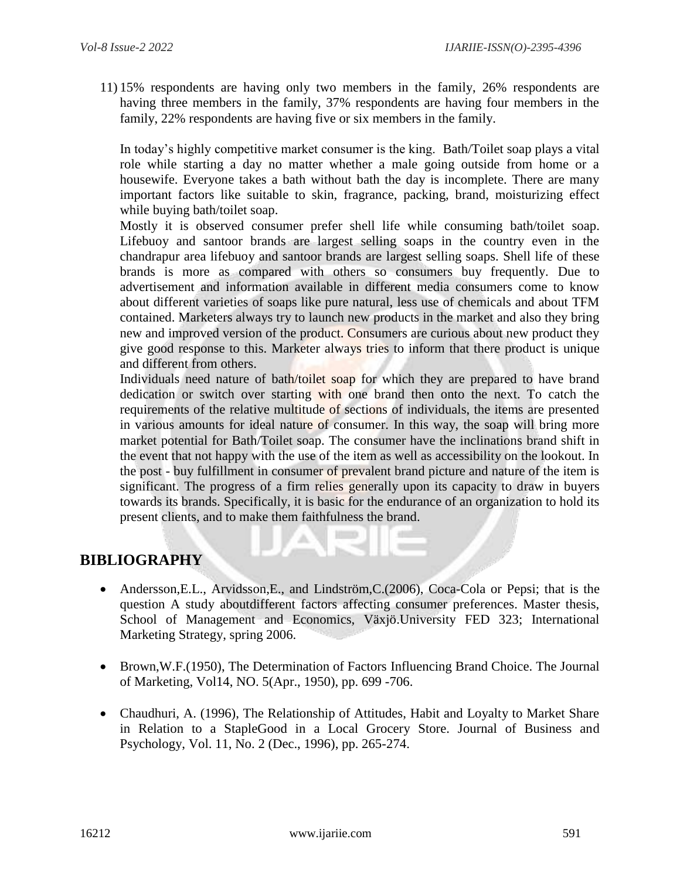11) 15% respondents are having only two members in the family, 26% respondents are having three members in the family, 37% respondents are having four members in the family, 22% respondents are having five or six members in the family.

In today's highly competitive market consumer is the king. Bath/Toilet soap plays a vital role while starting a day no matter whether a male going outside from home or a housewife. Everyone takes a bath without bath the day is incomplete. There are many important factors like suitable to skin, fragrance, packing, brand, moisturizing effect while buying bath/toilet soap.

Mostly it is observed consumer prefer shell life while consuming bath/toilet soap. Lifebuoy and santoor brands are largest selling soaps in the country even in the chandrapur area lifebuoy and santoor brands are largest selling soaps. Shell life of these brands is more as compared with others so consumers buy frequently. Due to advertisement and information available in different media consumers come to know about different varieties of soaps like pure natural, less use of chemicals and about TFM contained. Marketers always try to launch new products in the market and also they bring new and improved version of the product. Consumers are curious about new product they give good response to this. Marketer always tries to inform that there product is unique and different from others.

Individuals need nature of bath/toilet soap for which they are prepared to have brand dedication or switch over starting with one brand then onto the next. To catch the requirements of the relative multitude of sections of individuals, the items are presented in various amounts for ideal nature of consumer. In this way, the soap will bring more market potential for Bath/Toilet soap. The consumer have the inclinations brand shift in the event that not happy with the use of the item as well as accessibility on the lookout. In the post - buy fulfillment in consumer of prevalent brand picture and nature of the item is significant. The progress of a firm relies generally upon its capacity to draw in buyers towards its brands. Specifically, it is basic for the endurance of an organization to hold its present clients, and to make them faithfulness the brand.

## **BIBLIOGRAPHY**

- Andersson,E.L., Arvidsson,E., and Lindström,C.(2006), Coca-Cola or Pepsi; that is the question A study aboutdifferent factors affecting consumer preferences. Master thesis, School of Management and Economics, Växjö.University FED 323; International Marketing Strategy, spring 2006.
- Brown,W.F.(1950), The Determination of Factors Influencing Brand Choice. The Journal of Marketing, Vol14, NO. 5(Apr., 1950), pp. 699 -706.
- Chaudhuri, A. (1996), The Relationship of Attitudes, Habit and Loyalty to Market Share in Relation to a StapleGood in a Local Grocery Store. Journal of Business and Psychology, Vol. 11, No. 2 (Dec., 1996), pp. 265-274.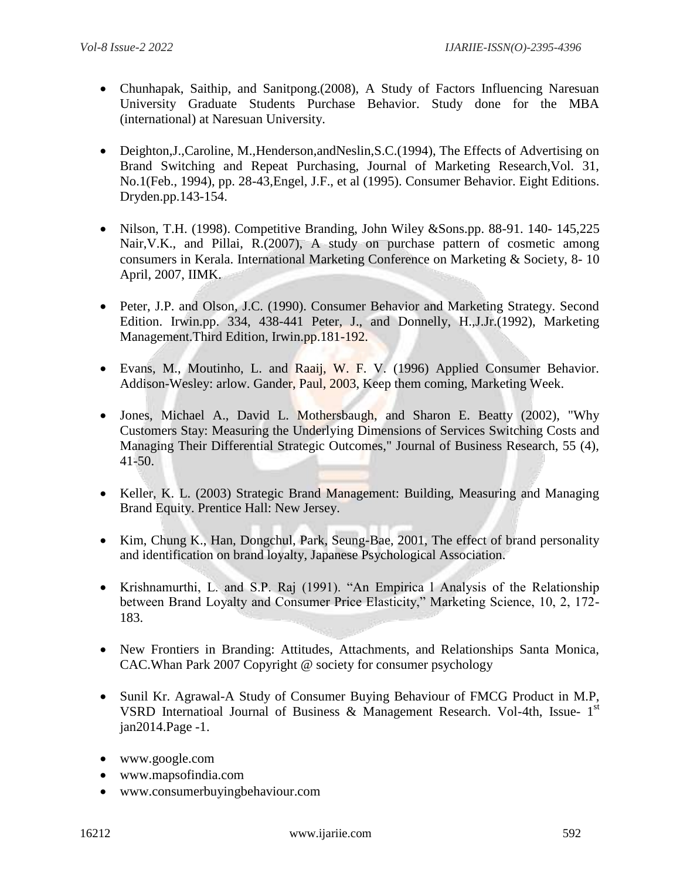- Chunhapak, Saithip, and Sanitpong. (2008), A Study of Factors Influencing Naresuan University Graduate Students Purchase Behavior. Study done for the MBA (international) at Naresuan University.
- Deighton, J., Caroline, M., Henderson, and Neslin, S.C. (1994), The Effects of Advertising on Brand Switching and Repeat Purchasing, Journal of Marketing Research,Vol. 31, No.1(Feb., 1994), pp. 28-43,Engel, J.F., et al (1995). Consumer Behavior. Eight Editions. Dryden.pp.143-154.
- Nilson, T.H. (1998). Competitive Branding, John Wiley & Sons.pp. 88-91. 140-145,225 Nair,V.K., and Pillai, R.(2007), A study on purchase pattern of cosmetic among consumers in Kerala. International Marketing Conference on Marketing & Society, 8- 10 April, 2007, IIMK.
- Peter, J.P. and Olson, J.C. (1990). Consumer Behavior and Marketing Strategy. Second Edition. Irwin.pp. 334, 438-441 Peter, J., and Donnelly, H.,J.Jr.(1992), Marketing Management.Third Edition, Irwin.pp.181-192.
- Evans, M., Moutinho, L. and Raaij, W. F. V. (1996) Applied Consumer Behavior. Addison-Wesley: arlow. Gander, Paul, 2003, Keep them coming, Marketing Week.
- Jones, Michael A., David L. Mothersbaugh, and Sharon E. Beatty (2002), "Why Customers Stay: Measuring the Underlying Dimensions of Services Switching Costs and Managing Their Differential Strategic Outcomes," Journal of Business Research, 55 (4), 41-50.
- Keller, K. L. (2003) Strategic Brand Management: Building, Measuring and Managing Brand Equity. Prentice Hall: New Jersey.
- Kim, Chung K., Han, Dongchul, Park, Seung-Bae, 2001, The effect of brand personality and identification on brand loyalty, Japanese Psychological Association.
- Krishnamurthi, L. and S.P. Raj (1991). "An Empirica l Analysis of the Relationship between Brand Loyalty and Consumer Price Elasticity," Marketing Science, 10, 2, 172- 183.
- New Frontiers in Branding: Attitudes, Attachments, and Relationships Santa Monica, CAC.Whan Park 2007 Copyright @ society for consumer psychology
- Sunil Kr. Agrawal-A Study of Consumer Buying Behaviour of FMCG Product in M.P, VSRD Internatioal Journal of Business & Management Research. Vol-4th, Issue- 1st jan2014.Page -1.
- [www.google.com](http://www.google.com/)
- [www.mapsofindia.com](http://www.mapsofindia.com/)
- [www.consumerbuyingbehaviour.com](http://www.consumerbuyingbehaviour.com/)